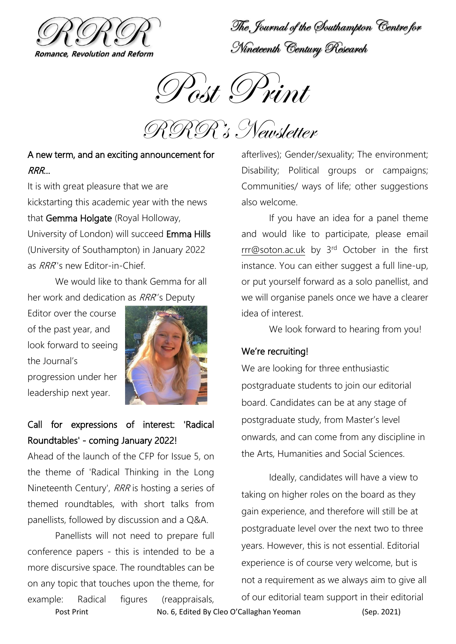

The Journal of the Southampton Centre for Nineteenth Century Research



RRR's Newsletter

### A new term, and an exciting announcement for RRR…

It is with great pleasure that we are kickstarting this academic year with the news that Gemma Holgate (Royal Holloway, University of London) will succeed Emma Hills (University of Southampton) in January 2022 as RRR''s new Editor-in-Chief.

We would like to thank Gemma for all her work and dedication as RRR''s Deputy

Editor over the course of the past year, and look forward to seeing the Journal's progression under her leadership next year.



# Call for expressions of interest: 'Radical Roundtables' - coming January 2022!

Ahead of the launch of the CFP for Issue 5, on the theme of 'Radical Thinking in the Long Nineteenth Century', RRR is hosting a series of themed roundtables, with short talks from panellists, followed by discussion and a Q&A.

Panellists will not need to prepare full conference papers - this is intended to be a more discursive space. The roundtables can be on any topic that touches upon the theme, for example: Radical figures (reappraisals,

afterlives); Gender/sexuality; The environment; Disability; Political groups or campaigns; Communities/ ways of life; other suggestions also welcome.

If you have an idea for a panel theme and would like to participate, please email [rrr@soton.ac.uk](mailto:rrr@soton.ac.uk) by 3rd October in the first instance. You can either suggest a full line-up, or put yourself forward as a solo panellist, and we will organise panels once we have a clearer idea of interest.

We look forward to hearing from you!

#### We're recruiting!

We are looking for three enthusiastic postgraduate students to join our editorial board. Candidates can be at any stage of postgraduate study, from Master's level onwards, and can come from any discipline in the Arts, Humanities and Social Sciences.

Ideally, candidates will have a view to taking on higher roles on the board as they gain experience, and therefore will still be at postgraduate level over the next two to three years. However, this is not essential. Editorial experience is of course very welcome, but is not a requirement as we always aim to give all of our editorial team support in their editorial

Post Print **No. 6, Edited By Cleo O'Callaghan Yeoman** (Sep. 2021)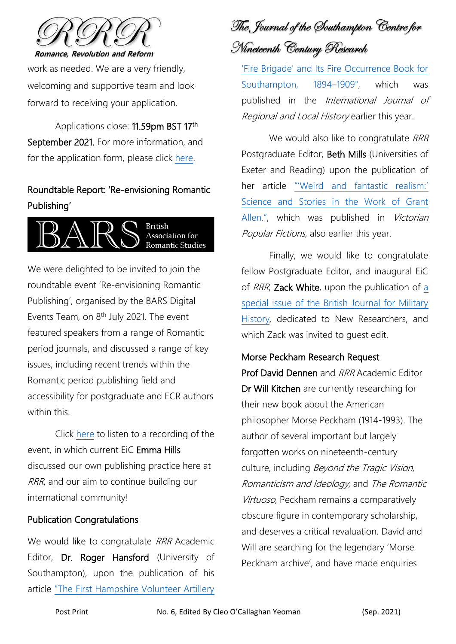

work as needed. We are a very friendly, welcoming and supportive team and look forward to receiving your application.

Applications close: 11.59pm BST 17<sup>th</sup> September 2021. For more information, and for the application form, please click [here.](http://www.rrrjournal.com/joinus)

## Roundtable Report: 'Re-envisioning Romantic Publishing'



We were delighted to be invited to join the roundtable event 'Re-envisioning Romantic Publishing', organised by the BARS Digital Events Team, on  $8<sup>th</sup>$  July 2021. The event featured speakers from a range of Romantic period journals, and discussed a range of key issues, including recent trends within the Romantic period publishing field and accessibility for postgraduate and ECR authors within this.

Click [here](https://www.bars.ac.uk/blog/?p=3779) to listen to a recording of the event, in which current EiC Emma Hills discussed our own publishing practice here at RRR, and our aim to continue building our international community!

#### Publication Congratulations

We would like to congratulate RRR Academic Editor, Dr. Roger Hansford (University of Southampton), upon the publication of his article ["The First Hampshire Volunteer Artillery](https://www.tandfonline.com/doi/full/10.1080/20514530.2021.1908717) 

The Journal of the Southampton Centre for Nineteenth Century Research

['Fire Brigade' and Its Fire Occurrence Book for](https://www.tandfonline.com/doi/full/10.1080/20514530.2021.1908717)  [Southampton, 1894](https://www.tandfonline.com/doi/full/10.1080/20514530.2021.1908717)–1909", which was published in the International Journal of Regional and Local History earlier this year.

We would also like to congratulate RRR Postgraduate Editor, Beth Mills (Universities of Exeter and Reading) upon the publication of her article ["'Weird and fantastic realism:'](https://doi.org/10.46911/DTMM2898)  [Science and Stories in the Work of Grant](https://doi.org/10.46911/DTMM2898)  [Allen."](https://doi.org/10.46911/DTMM2898), which was published in Victorian Popular Fictions, also earlier this year.

Finally, we would like to congratulate fellow Postgraduate Editor, and inaugural EiC of RRR, Zack White, upon the publication of a [special issue of the British Journal for Military](https://eur03.safelinks.protection.outlook.com/?url=https%3A%2F%2Fbjmh.gold.ac.uk%2Fissue%2Fview%2F117&data=04%7C01%7CRRR%40soton.ac.uk%7Cfffa8fb0a98e40e7bf0d08d94aabb563%7C4a5378f929f44d3ebe89669d03ada9d8%7C0%7C0%7C637622923597061926%7CUnknown%7CTWFpbGZsb3d8eyJWIjoiMC4wLjAwMDAiLCJQIjoiV2luMzIiLCJBTiI6Ik1haWwiLCJXVCI6Mn0%3D%7C1000&sdata=7fiOaC7kuCEAhAeZ5%2B6C5NIlhJtbW%2FGdDrSlnSY4aAY%3D&reserved=0)  [History](https://eur03.safelinks.protection.outlook.com/?url=https%3A%2F%2Fbjmh.gold.ac.uk%2Fissue%2Fview%2F117&data=04%7C01%7CRRR%40soton.ac.uk%7Cfffa8fb0a98e40e7bf0d08d94aabb563%7C4a5378f929f44d3ebe89669d03ada9d8%7C0%7C0%7C637622923597061926%7CUnknown%7CTWFpbGZsb3d8eyJWIjoiMC4wLjAwMDAiLCJQIjoiV2luMzIiLCJBTiI6Ik1haWwiLCJXVCI6Mn0%3D%7C1000&sdata=7fiOaC7kuCEAhAeZ5%2B6C5NIlhJtbW%2FGdDrSlnSY4aAY%3D&reserved=0), dedicated to New Researchers, and which Zack was invited to guest edit.

#### Morse Peckham Research Request

Prof David Dennen and RRR Academic Editor Dr Will Kitchen are currently researching for their new book about the American philosopher Morse Peckham (1914-1993). The author of several important but largely forgotten works on nineteenth-century culture, including Beyond the Tragic Vision, Romanticism and Ideology, and The Romantic Virtuoso, Peckham remains a comparatively obscure figure in contemporary scholarship, and deserves a critical revaluation. David and Will are searching for the legendary 'Morse Peckham archive', and have made enquiries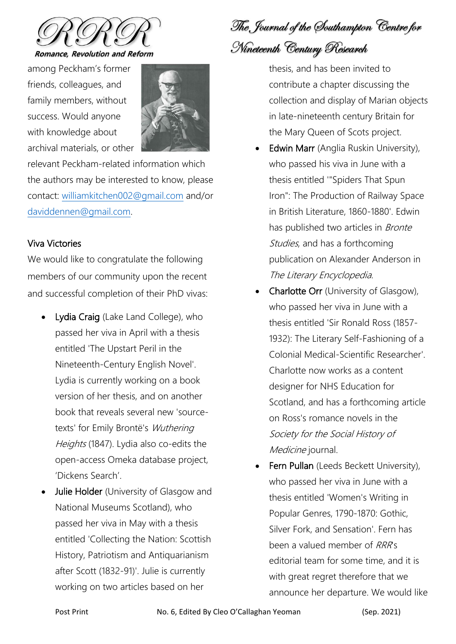

among Peckham's former friends, colleagues, and family members, without success. Would anyone with knowledge about archival materials, or other



relevant Peckham-related information which the authors may be interested to know, please contact: [williamkitchen002@gmail.com](mailto:williamkitchen002@gmail.com) and/or [daviddennen@gmail.com.](mailto:daviddennen@gmail.com)

#### Viva Victories

We would like to congratulate the following members of our community upon the recent and successful completion of their PhD vivas:

- Lydia Craig (Lake Land College), who passed her viva in April with a thesis entitled 'The Upstart Peril in the Nineteenth-Century English Novel'. Lydia is currently working on a book version of her thesis, and on another book that reveals several new 'sourcetexts' for Emily Brontë's Wuthering Heights (1847). Lydia also co-edits the open-access Omeka database project, 'Dickens Search'.
- Julie Holder (University of Glasgow and National Museums Scotland), who passed her viva in May with a thesis entitled 'Collecting the Nation: Scottish History, Patriotism and Antiquarianism after Scott (1832-91)'. Julie is currently working on two articles based on her

The Journal of the Southampton Centre for Nineteenth Century Research

thesis, and has been invited to contribute a chapter discussing the collection and display of Marian objects in late-nineteenth century Britain for the Mary Queen of Scots project.

- **Edwin Marr** (Anglia Ruskin University), who passed his viva in June with a thesis entitled '"Spiders That Spun Iron": The Production of Railway Space in British Literature, 1860-1880'. Edwin has published two articles in *Bronte* Studies, and has a forthcoming publication on Alexander Anderson in The Literary Encyclopedia.
- **Charlotte Orr** (University of Glasgow), who passed her viva in June with a thesis entitled 'Sir Ronald Ross (1857- 1932): The Literary Self-Fashioning of a Colonial Medical-Scientific Researcher'. Charlotte now works as a content designer for NHS Education for Scotland, and has a forthcoming article on Ross's romance novels in the Society for the Social History of Medicine journal.
- Fern Pullan (Leeds Beckett University), who passed her viva in June with a thesis entitled 'Women's Writing in Popular Genres, 1790-1870: Gothic, Silver Fork, and Sensation'. Fern has been a valued member of RRR's editorial team for some time, and it is with great regret therefore that we announce her departure. We would like